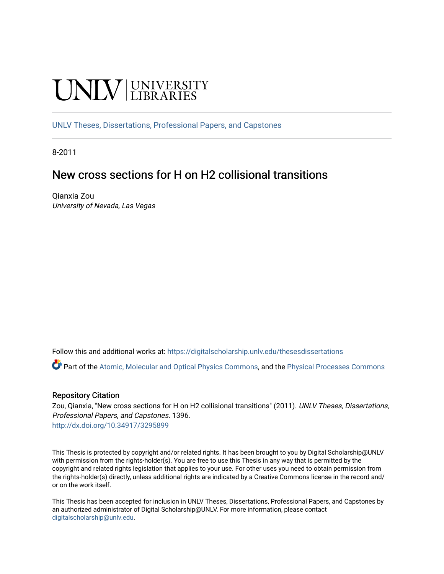# UNIV UNIVERSITY

[UNLV Theses, Dissertations, Professional Papers, and Capstones](https://digitalscholarship.unlv.edu/thesesdissertations)

8-2011

# New cross sections for H on H2 collisional transitions

Qianxia Zou University of Nevada, Las Vegas

Follow this and additional works at: [https://digitalscholarship.unlv.edu/thesesdissertations](https://digitalscholarship.unlv.edu/thesesdissertations?utm_source=digitalscholarship.unlv.edu%2Fthesesdissertations%2F1396&utm_medium=PDF&utm_campaign=PDFCoverPages)

Part of the [Atomic, Molecular and Optical Physics Commons,](http://network.bepress.com/hgg/discipline/195?utm_source=digitalscholarship.unlv.edu%2Fthesesdissertations%2F1396&utm_medium=PDF&utm_campaign=PDFCoverPages) and the [Physical Processes Commons](http://network.bepress.com/hgg/discipline/124?utm_source=digitalscholarship.unlv.edu%2Fthesesdissertations%2F1396&utm_medium=PDF&utm_campaign=PDFCoverPages) 

#### Repository Citation

Zou, Qianxia, "New cross sections for H on H2 collisional transitions" (2011). UNLV Theses, Dissertations, Professional Papers, and Capstones. 1396. <http://dx.doi.org/10.34917/3295899>

This Thesis is protected by copyright and/or related rights. It has been brought to you by Digital Scholarship@UNLV with permission from the rights-holder(s). You are free to use this Thesis in any way that is permitted by the copyright and related rights legislation that applies to your use. For other uses you need to obtain permission from the rights-holder(s) directly, unless additional rights are indicated by a Creative Commons license in the record and/ or on the work itself.

This Thesis has been accepted for inclusion in UNLV Theses, Dissertations, Professional Papers, and Capstones by an authorized administrator of Digital Scholarship@UNLV. For more information, please contact [digitalscholarship@unlv.edu](mailto:digitalscholarship@unlv.edu).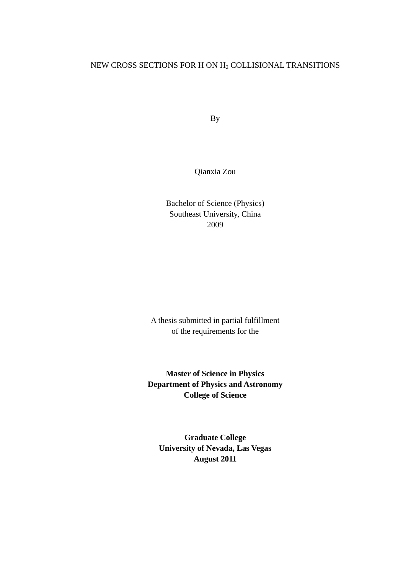# NEW CROSS SECTIONS FOR H ON H<sup>2</sup> COLLISIONAL TRANSITIONS

By

Qianxia Zou

Bachelor of Science (Physics) Southeast University, China 2009

A thesis submitted in partial fulfillment of the requirements for the

**Master of Science in Physics Department of Physics and Astronomy College of Science**

**Graduate College University of Nevada, Las Vegas August 2011**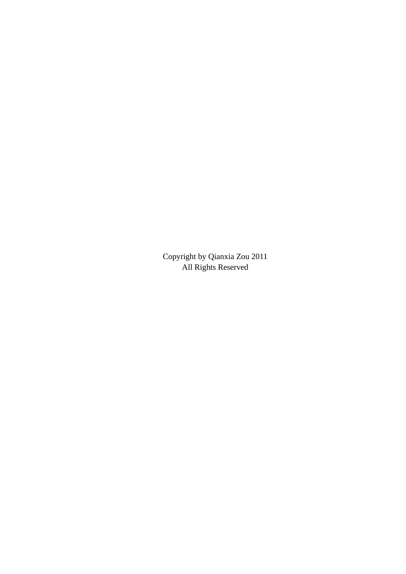Copyright by Qianxia Zou 2011 All Rights Reserved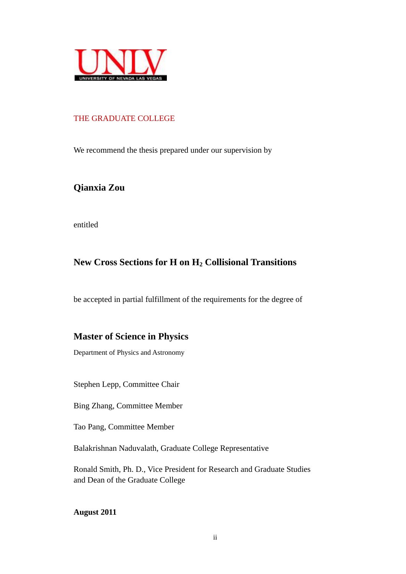

## THE GRADUATE COLLEGE

We recommend the thesis prepared under our supervision by

**Qianxia Zou**

entitled

# **New Cross Sections for H on H<sup>2</sup> Collisional Transitions**

be accepted in partial fulfillment of the requirements for the degree of

# **Master of Science in Physics**

Department of Physics and Astronomy

Stephen Lepp, Committee Chair

Bing Zhang, Committee Member

Tao Pang, Committee Member

Balakrishnan Naduvalath, Graduate College Representative

Ronald Smith, Ph. D., Vice President for Research and Graduate Studies and Dean of the Graduate College

**August 2011**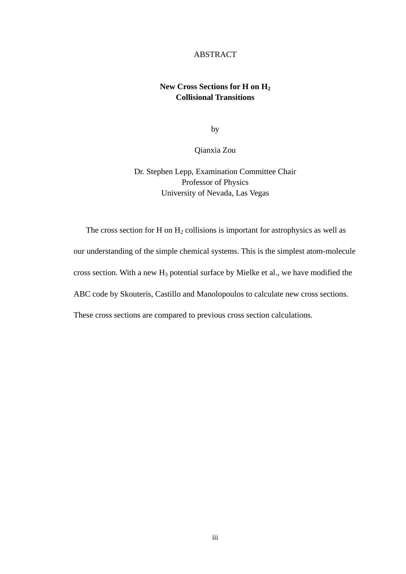#### ABSTRACT

# **New Cross Sections for H on H<sup>2</sup> Collisional Transitions**

by

Qianxia Zou

Dr. Stephen Lepp, Examination Committee Chair Professor of Physics University of Nevada, Las Vegas

The cross section for H on  $H_2$  collisions is important for astrophysics as well as our understanding of the simple chemical systems. This is the simplest atom-molecule cross section. With a new  $H_3$  potential surface by Mielke et al., we have modified the ABC code by Skouteris, Castillo and Manolopoulos to calculate new cross sections. These cross sections are compared to previous cross section calculations.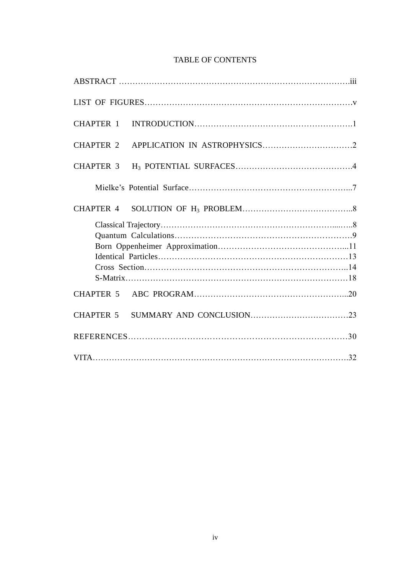# TABLE OF CONTENTS

| CHAPTER 1        |  |  |
|------------------|--|--|
| <b>CHAPTER 2</b> |  |  |
| <b>CHAPTER 3</b> |  |  |
|                  |  |  |
|                  |  |  |
|                  |  |  |
|                  |  |  |
|                  |  |  |
|                  |  |  |
|                  |  |  |
|                  |  |  |
|                  |  |  |
| CHAPTER 5        |  |  |
|                  |  |  |
|                  |  |  |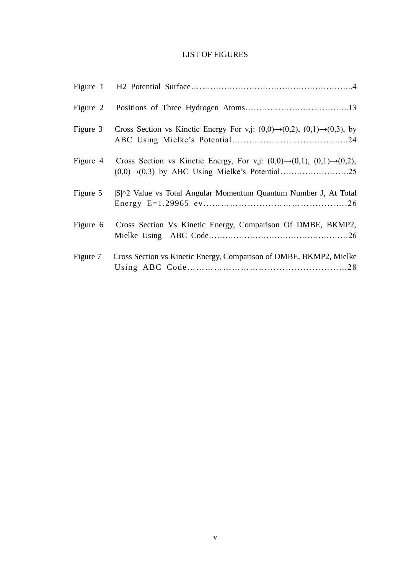#### LIST OF FIGURES

| Figure 3 | Cross Section vs Kinetic Energy For v,j: $(0,0) \rightarrow (0,2)$ , $(0,1) \rightarrow (0,3)$ , by                          |
|----------|------------------------------------------------------------------------------------------------------------------------------|
|          | Figure 4 Cross Section vs Kinetic Energy, For v,j: $(0,0) \rightarrow (0,1)$ , $(0,1) \rightarrow (0,2)$ ,                   |
| Figure 5 | S <sup><math>\vert</math></sup> S <sup><math>\vert</math></sup> 2 Value vs Total Angular Momentum Quantum Number J, At Total |
| Figure 6 | Cross Section Vs Kinetic Energy, Comparison Of DMBE, BKMP2,                                                                  |
| Figure 7 | Cross Section vs Kinetic Energy, Comparison of DMBE, BKMP2, Mielke                                                           |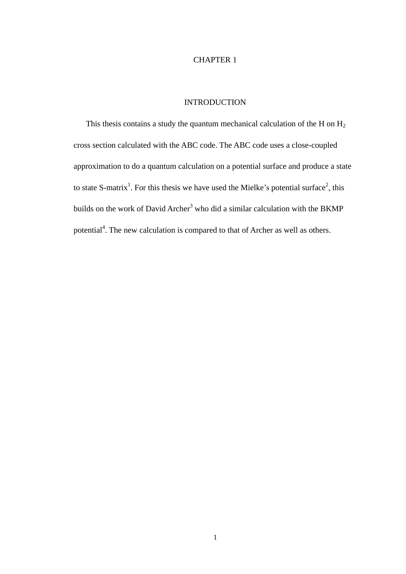#### CHAPTER 1

## INTRODUCTION

This thesis contains a study the quantum mechanical calculation of the H on  $H_2$ cross section calculated with the ABC code. The ABC code uses a close-coupled approximation to do a quantum calculation on a potential surface and produce a state to state S-matrix<sup>1</sup>. For this thesis we have used the Mielke's potential surface<sup>2</sup>, this builds on the work of David Archer<sup>3</sup> who did a similar calculation with the BKMP potential<sup>4</sup>. The new calculation is compared to that of Archer as well as others.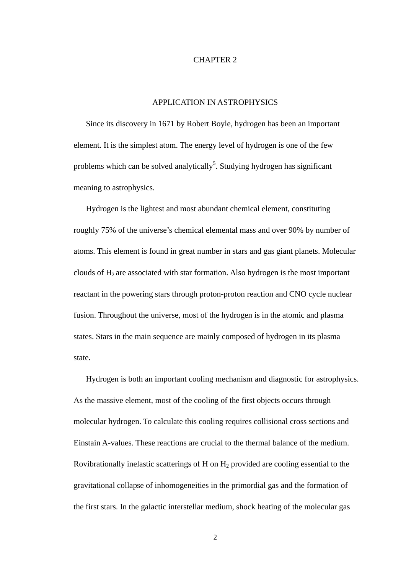#### CHAPTER 2

#### APPLICATION IN ASTROPHYSICS

Since its discovery in 1671 by Robert Boyle, hydrogen has been an important element. It is the simplest atom. The energy level of hydrogen is one of the few problems which can be solved analytically<sup>5</sup>. Studying hydrogen has significant meaning to astrophysics.

Hydrogen is the lightest and most abundant chemical element, constituting roughly 75% of the universe's chemical elemental mass and over 90% by number of atoms. This element is found in great number in stars and gas giant planets. Molecular clouds of  $H_2$  are associated with star formation. Also hydrogen is the most important reactant in the powering stars through proton-proton reaction and CNO cycle nuclear fusion. Throughout the universe, most of the hydrogen is in the atomic and plasma states. Stars in the main sequence are mainly composed of hydrogen in its plasma state.

Hydrogen is both an important cooling mechanism and diagnostic for astrophysics. As the massive element, most of the cooling of the first objects occurs through molecular hydrogen. To calculate this cooling requires collisional cross sections and Einstain A-values. These reactions are crucial to the thermal balance of the medium. Rovibrationally inelastic scatterings of  $H$  on  $H_2$  provided are cooling essential to the gravitational collapse of inhomogeneities in the primordial gas and the formation of the first stars. In the galactic interstellar medium, shock heating of the molecular gas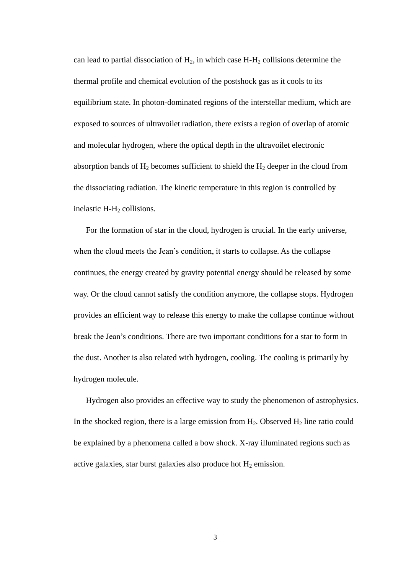can lead to partial dissociation of  $H_2$ , in which case  $H-H_2$  collisions determine the thermal profile and chemical evolution of the postshock gas as it cools to its equilibrium state. In photon-dominated regions of the interstellar medium, which are exposed to sources of ultravoilet radiation, there exists a region of overlap of atomic and molecular hydrogen, where the optical depth in the ultravoilet electronic absorption bands of  $H_2$  becomes sufficient to shield the  $H_2$  deeper in the cloud from the dissociating radiation. The kinetic temperature in this region is controlled by inelastic H-H<sub>2</sub> collisions.

For the formation of star in the cloud, hydrogen is crucial. In the early universe, when the cloud meets the Jean's condition, it starts to collapse. As the collapse continues, the energy created by gravity potential energy should be released by some way. Or the cloud cannot satisfy the condition anymore, the collapse stops. Hydrogen provides an efficient way to release this energy to make the collapse continue without break the Jean's conditions. There are two important conditions for a star to form in the dust. Another is also related with hydrogen, cooling. The cooling is primarily by hydrogen molecule.

Hydrogen also provides an effective way to study the phenomenon of astrophysics. In the shocked region, there is a large emission from  $H_2$ . Observed  $H_2$  line ratio could be explained by a phenomena called a bow shock. X-ray illuminated regions such as active galaxies, star burst galaxies also produce hot  $H_2$  emission.

3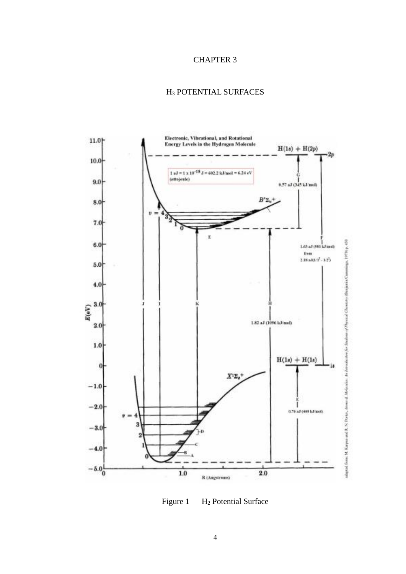#### CHAPTER 3

# H<sup>3</sup> POTENTIAL SURFACES



Figure 1 H<sub>2</sub> Potential Surface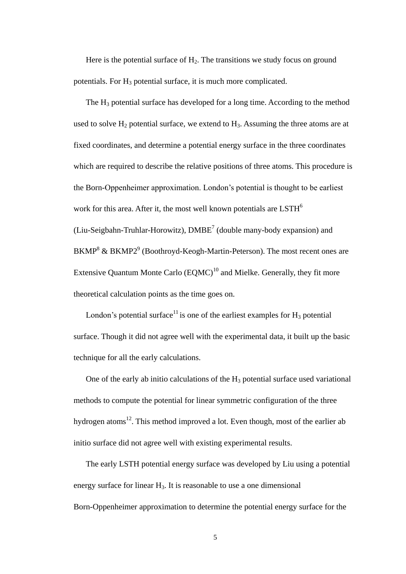Here is the potential surface of  $H_2$ . The transitions we study focus on ground potentials. For H<sub>3</sub> potential surface, it is much more complicated.

The  $H_3$  potential surface has developed for a long time. According to the method used to solve  $H_2$  potential surface, we extend to  $H_3$ . Assuming the three atoms are at fixed coordinates, and determine a potential energy surface in the three coordinates which are required to describe the relative positions of three atoms. This procedure is the Born-Oppenheimer approximation. London's potential is thought to be earliest work for this area. After it, the most well known potentials are LSTH<sup>6</sup> (Liu-Seigbahn-Truhlar-Horowitz),  $DMBE<sup>7</sup>$  (double many-body expansion) and  $BKMP<sup>8</sup>$  &  $BKMP2<sup>9</sup>$  (Boothroyd-Keogh-Martin-Peterson). The most recent ones are Extensive Quantum Monte Carlo  $(EQMC)^{10}$  and Mielke. Generally, they fit more theoretical calculation points as the time goes on.

London's potential surface<sup>11</sup> is one of the earliest examples for  $H_3$  potential surface. Though it did not agree well with the experimental data, it built up the basic technique for all the early calculations.

One of the early ab initio calculations of the  $H_3$  potential surface used variational methods to compute the potential for linear symmetric configuration of the three hydrogen atoms<sup>12</sup>. This method improved a lot. Even though, most of the earlier ab initio surface did not agree well with existing experimental results.

The early LSTH potential energy surface was developed by Liu using a potential energy surface for linear  $H_3$ . It is reasonable to use a one dimensional Born-Oppenheimer approximation to determine the potential energy surface for the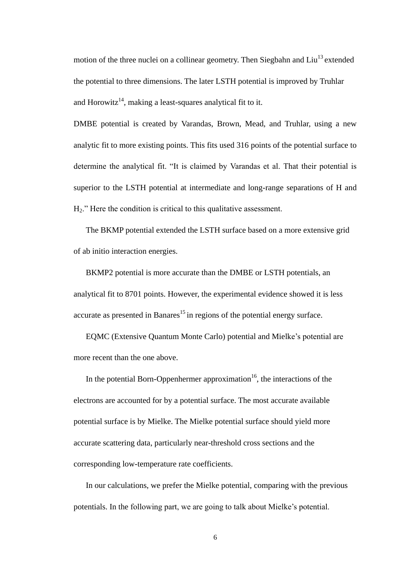motion of the three nuclei on a collinear geometry. Then Siegbahn and  $\text{Liu}^{13}$  extended the potential to three dimensions. The later LSTH potential is improved by Truhlar and Horowitz<sup>14</sup>, making a least-squares analytical fit to it.

DMBE potential is created by Varandas, Brown, Mead, and Truhlar, using a new analytic fit to more existing points. This fits used 316 points of the potential surface to determine the analytical fit. "It is claimed by Varandas et al. That their potential is superior to the LSTH potential at intermediate and long-range separations of H and H2." Here the condition is critical to this qualitative assessment.

The BKMP potential extended the LSTH surface based on a more extensive grid of ab initio interaction energies.

BKMP2 potential is more accurate than the DMBE or LSTH potentials, an analytical fit to 8701 points. However, the experimental evidence showed it is less accurate as presented in Banares $^{15}$  in regions of the potential energy surface.

EQMC (Extensive Quantum Monte Carlo) potential and Mielke's potential are more recent than the one above.

In the potential Born-Oppenhermer approximation<sup>16</sup>, the interactions of the electrons are accounted for by a potential surface. The most accurate available potential surface is by Mielke. The Mielke potential surface should yield more accurate scattering data, particularly near-threshold cross sections and the corresponding low-temperature rate coefficients.

In our calculations, we prefer the Mielke potential, comparing with the previous potentials. In the following part, we are going to talk about Mielke's potential.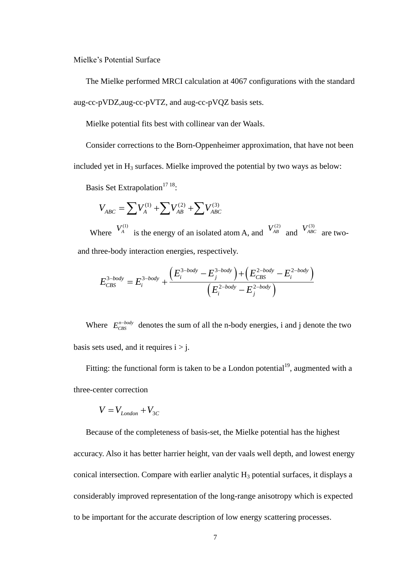Mielke's Potential Surface

The Mielke performed MRCI calculation at 4067 configurations with the standard aug-cc-pVDZ,aug-cc-pVTZ, and aug-cc-pVQZ basis sets.

Mielke potential fits best with collinear van der Waals.

Consider corrections to the Born-Oppenheimer approximation, that have not been included yet in  $H_3$  surfaces. Mielke improved the potential by two ways as below:

Basis Set Extrapolation<sup>17 18</sup>:

is set extrapolation :  

$$
V_{ABC} = \sum V_A^{(1)} + \sum V_{AB}^{(2)} + \sum V_{ABC}^{(3)}
$$

Where  $\frac{V_A^{(1)}}{A}$  is the energy of an isolated atom A, and  $\frac{V_{AB}^{(2)}}{A}$  and  $\frac{V_{ABC}^{(3)}}{A}$  are two-

and three-body interaction energies, respectively.  
\n
$$
E_{CBS}^{3-body} = E_i^{3-body} + \frac{\left(E_i^{3-body} - E_j^{3-body}\right) + \left(E_{CBS}^{2-body} - E_i^{2-body}\right)}{\left(E_i^{2-body} - E_j^{2-body}\right)}
$$

Where  $E_{\text{CBS}}^{n-body}$  denotes the sum of all the n-body energies, i and j denote the two basis sets used, and it requires  $i > j$ .

Fitting: the functional form is taken to be a London potential<sup>19</sup>, augmented with a three-center correction

$$
V = V_{London} + V_{3C}
$$

Because of the completeness of basis-set, the Mielke potential has the highest accuracy. Also it has better harrier height, van der vaals well depth, and lowest energy conical intersection. Compare with earlier analytic  $H_3$  potential surfaces, it displays a considerably improved representation of the long-range anisotropy which is expected to be important for the accurate description of low energy scattering processes.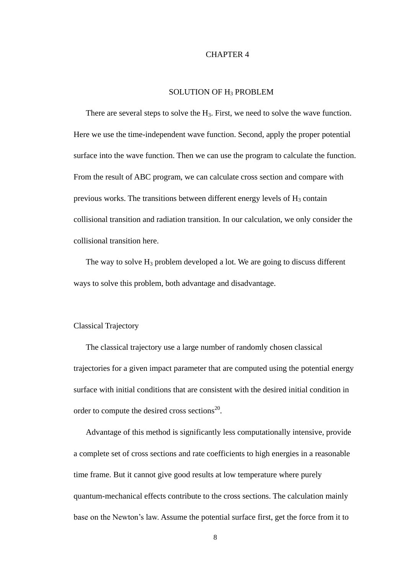#### CHAPTER 4

#### SOLUTION OF H<sub>3</sub> PROBLEM

There are several steps to solve the H<sub>3</sub>. First, we need to solve the wave function. Here we use the time-independent wave function. Second, apply the proper potential surface into the wave function. Then we can use the program to calculate the function. From the result of ABC program, we can calculate cross section and compare with previous works. The transitions between different energy levels of  $H_3$  contain collisional transition and radiation transition. In our calculation, we only consider the collisional transition here.

The way to solve  $H_3$  problem developed a lot. We are going to discuss different ways to solve this problem, both advantage and disadvantage.

#### Classical Trajectory

The classical trajectory use a large number of randomly chosen classical trajectories for a given impact parameter that are computed using the potential energy surface with initial conditions that are consistent with the desired initial condition in order to compute the desired cross sections<sup>20</sup>.

Advantage of this method is significantly less computationally intensive, provide a complete set of cross sections and rate coefficients to high energies in a reasonable time frame. But it cannot give good results at low temperature where purely quantum-mechanical effects contribute to the cross sections. The calculation mainly base on the Newton's law. Assume the potential surface first, get the force from it to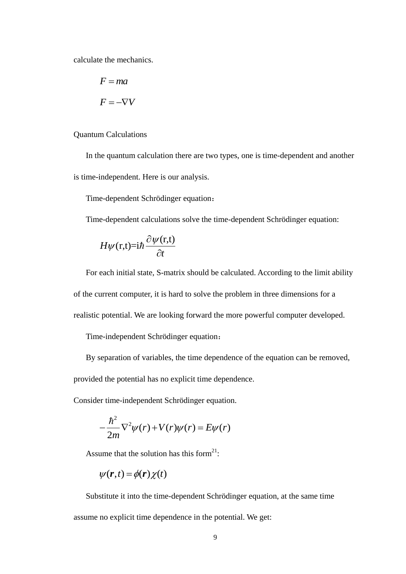calculate the mechanics.

$$
F = ma
$$

$$
F = -\nabla V
$$

Quantum Calculations

In the quantum calculation there are two types, one is time-dependent and another is time-independent. Here is our analysis.

Time-dependent Schrödinger equation:

Time-dependent calculations solve the time-dependent Schrödinger equation:

$$
H\psi(\mathbf{r,t})\dot{=}i\hbar\frac{\partial\psi(\mathbf{r,t})}{\partial t}
$$

For each initial state, S-matrix should be calculated. According to the limit ability of the current computer, it is hard to solve the problem in three dimensions for a realistic potential. We are looking forward the more powerful computer developed.

Time-independent Schrödinger equation:

By separation of variables, the time dependence of the equation can be removed,

provided the potential has no explicit time dependence.

Consider time-independent Schrödinger equation.

$$
-\frac{\hbar^2}{2m}\nabla^2\psi(r)+V(r)\psi(r)=E\psi(r)
$$

Assume that the solution has this form<sup>21</sup>:

$$
\psi(\mathbf{r},t) = \phi(\mathbf{r})\chi(t)
$$

Substitute it into the time-dependent Schrödinger equation, at the same time assume no explicit time dependence in the potential. We get: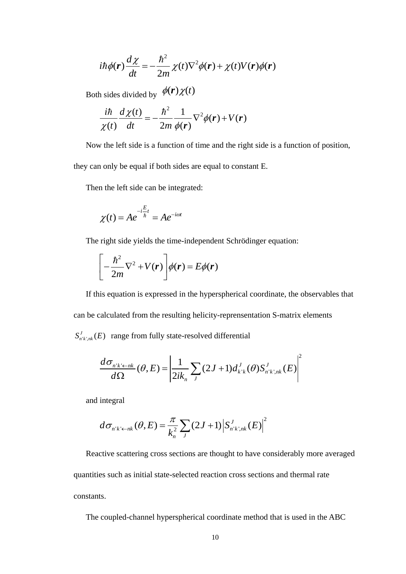$$
i\hbar\phi(\mathbf{r})\frac{d\chi}{dt} = -\frac{\hbar^2}{2m}\chi(t)\nabla^2\phi(\mathbf{r}) + \chi(t)V(\mathbf{r})\phi(\mathbf{r})
$$

Both sides divided by  $\phi(r) \chi(t)$ 

$$
\frac{i\hbar}{\chi(t)}\frac{d\chi(t)}{dt} = -\frac{\hbar^2}{2m}\frac{1}{\phi(r)}\nabla^2\phi(r) + V(r)
$$

Now the left side is a function of time and the right side is a function of position,

they can only be equal if both sides are equal to constant E.

Then the left side can be integrated:

$$
\chi(t) = Ae^{-i\frac{E}{\hbar}t} = Ae^{-i\omega t}
$$

The right side yields the time-independent Schrödinger equation:

$$
\left[-\frac{\hbar^2}{2m}\nabla^2 + V(r)\right]\phi(r) = E\phi(r)
$$

 $\frac{1}{2} \chi(t) \nabla^2 \phi(r)$ <br>  $\phi(r) \chi(t)$ <br>  $\frac{\hbar^2}{2} \frac{1}{m} \phi(r) \nabla^2 \phi(r)$ <br>
notion of time an<br>
th sides are equa<br>
e integrated:<br>  $\frac{\hbar^2}{2} e^{-i\omega t}$ <br>  $\frac{\hbar^2}{2} e^{-i\omega t}$ <br>  $\frac{\hbar^2}{2} \phi(r) = E \phi(r)$ <br>
assed in the hyper<br>
resulting If this equation is expressed in the hyperspherical coordinate, the observables that can be calculated from the resulting helicity-reprensentation S-matrix elements  $S'_{n'k',nk}(E)$  range from fully state-resolved differential

$$
\frac{d\sigma_{n'k' \leftarrow nk}}{d\Omega}(\theta, E) = \left| \frac{1}{2ik_n} \sum_{J} (2J+1) d_{k'k}^{J}(\theta) S_{n'k',nk}^{J}(E) \right|^2
$$

and integral

$$
d\sigma_{n'k'-nk}(\theta, E) = \frac{\pi}{k_n^2} \sum_{J} (2J+1) \left| S_{n'k',nk}^J(E) \right|^2
$$

Reactive scattering cross sections are thought to have considerably more averaged quantities such as initial state-selected reaction cross sections and thermal rate constants.

The coupled-channel hyperspherical coordinate method that is used in the ABC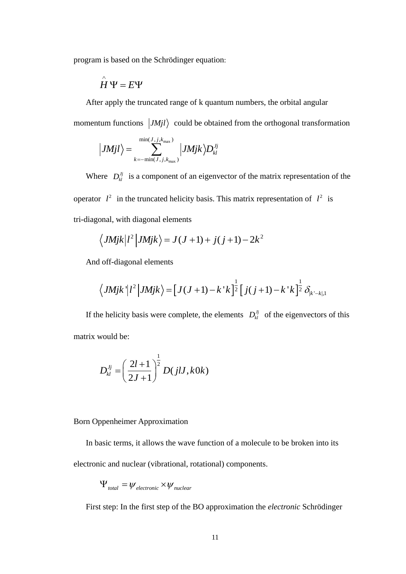program is based on the Schrödinger equation:

$$
\overset{\wedge}{H}\Psi = E\Psi
$$

After apply the truncated range of k quantum numbers, the orbital angular momentum functions  $|JMjl\rangle$  could be obtained from the orthogonal transformation

$$
\left| JMjl\right\rangle =\sum_{k=-{\rm min}(J,j,k_{\rm max})}^{{\rm min}(J,j,k_{\rm max})}\left| JMjk\right\rangle D^{Jj}_{kl}
$$

Where  $D_{kl}^{Jj}$  is a component of an eigenvector of the matrix representation of the operator  $l^2$  in the truncated helicity basis. This matrix representation of  $l^2$  is tri-diagonal, with diagonal elements

$$
\langle JMjk | l^2 | JMjk \rangle = J(J+1) + j(j+1) - 2k^2
$$

And off-diagonal elements

1 oft-diagonal elements  
\n
$$
\langle JMjk' | l^2 | JMjk \rangle = [J(J+1) - k'k]^{\frac{1}{2}} [j(j+1) - k'k]^{\frac{1}{2}} \delta_{k'-k,1}
$$

If the helicity basis were complete, the elements  $D_{kl}^{Jj}$  of the eigenvectors of this matrix would be:

$$
D_{kl}^{Jj}=\left(\frac{2l+1}{2J+1}\right)^{\frac{1}{2}}D(jlJ,k0k)
$$

#### Born Oppenheimer Approximation

In basic terms, it allows the wave function of a molecule to be broken into its

electronic and nuclear (vibrational, rotational) components.

$$
\Psi_{total} = \psi_{electronic} \times \psi_{nuclear}
$$

First step: In the first step of the BO approximation the *electronic* Schrödinger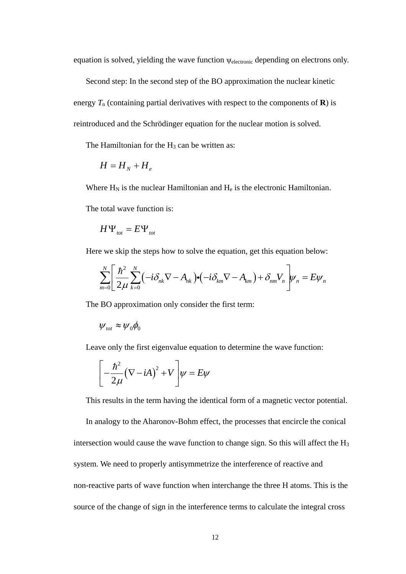equation is solved, yielding the wave function  $\psi_{\text{electronic}}$  depending on electrons only.

Second step: In the second step of the BO approximation the nuclear kinetic energy  $T_n$  (containing partial derivatives with respect to the components of **R**) is reintroduced and the Schrödinger equation for the nuclear motion is solved.

The Hamiltonian for the  $H_3$  can be written as:

$$
H = H_{N} + H_{e}
$$

Where  $H_N$  is the nuclear Hamiltonian and  $H_e$  is the electronic Hamiltonian.

The total wave function is:

$$
H\Psi_{\text{tot}} = E\Psi_{\text{tot}}
$$

Here we skip the steps how to solve the equation, get this equation below:  
\n
$$
\sum_{m=0}^{N} \left[ \frac{\hbar^2}{2\mu} \sum_{k=0}^{N} \left( -i \delta_{nk} \nabla - A_{nk} \right) \cdot \left( -i \delta_{km} \nabla - A_{km} \right) + \delta_{nm} V_n \right] \psi_n = E \psi_n
$$

The BO approximation only consider the first term:

$$
\psi_{\rm tot} \approx \psi_0 \phi_0
$$

Leave only the first eigenvalue equation to determine the wave function:

$$
\left[-\frac{\hbar^2}{2\mu}(\nabla - iA)^2 + V\right]\psi = E\psi
$$

This results in the term having the identical form of a magnetic vector potential.

In analogy to the Aharonov-Bohm effect, the processes that encircle the conical intersection would cause the wave function to change sign. So this will affect the H<sup>3</sup> system. We need to properly antisymmetrize the interference of reactive and non-reactive parts of wave function when interchange the three H atoms. This is the source of the change of sign in the interference terms to calculate the integral cross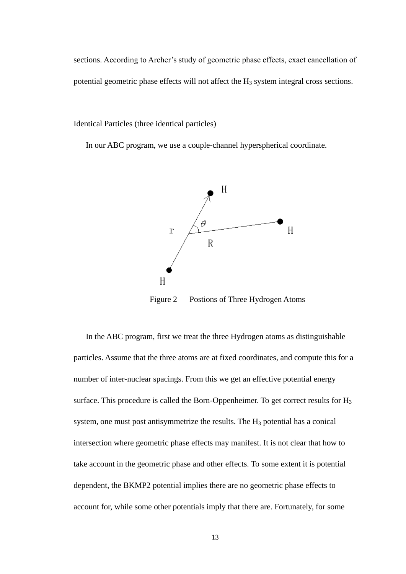sections. According to Archer's study of geometric phase effects, exact cancellation of potential geometric phase effects will not affect the  $H_3$  system integral cross sections.

Identical Particles (three identical particles)

In our ABC program, we use a couple-channel hyperspherical coordinate.



Figure 2 Postions of Three Hydrogen Atoms

In the ABC program, first we treat the three Hydrogen atoms as distinguishable particles. Assume that the three atoms are at fixed coordinates, and compute this for a number of inter-nuclear spacings. From this we get an effective potential energy surface. This procedure is called the Born-Oppenheimer. To get correct results for  $H_3$ system, one must post antisymmetrize the results. The  $H_3$  potential has a conical intersection where geometric phase effects may manifest. It is not clear that how to take account in the geometric phase and other effects. To some extent it is potential dependent, the BKMP2 potential implies there are no geometric phase effects to account for, while some other potentials imply that there are. Fortunately, for some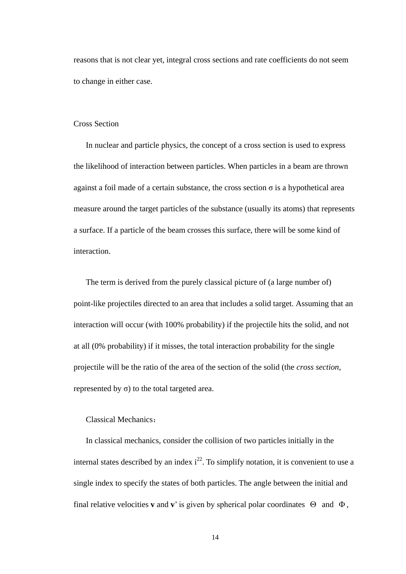reasons that is not clear yet, integral cross sections and rate coefficients do not seem to change in either case.

#### Cross Section

In nuclear and particle physics, the concept of a cross section is used to express the likelihood of interaction between particles. When particles in a beam are thrown against a foil made of a certain substance, the cross section  $\sigma$  is a hypothetical area measure around the target particles of the substance (usually its atoms) that represents a surface. If a particle of the beam crosses this surface, there will be some kind of interaction.

The term is derived from the purely classical picture of (a large number of) point-like projectiles directed to an area that includes a solid target. Assuming that an interaction will occur (with 100% probability) if the projectile hits the solid, and not at all (0% probability) if it misses, the total interaction probability for the single projectile will be the ratio of the area of the section of the solid (the *cross section*, represented by  $\sigma$ ) to the total targeted area.

#### Classical Mechanics:

In classical mechanics, consider the collision of two particles initially in the internal states described by an index  $i^{22}$ . To simplify notation, it is convenient to use a single index to specify the states of both particles. The angle between the initial and final relative velocities **v** and **v**' is given by spherical polar coordinates  $\Theta$  and  $\Phi$ ,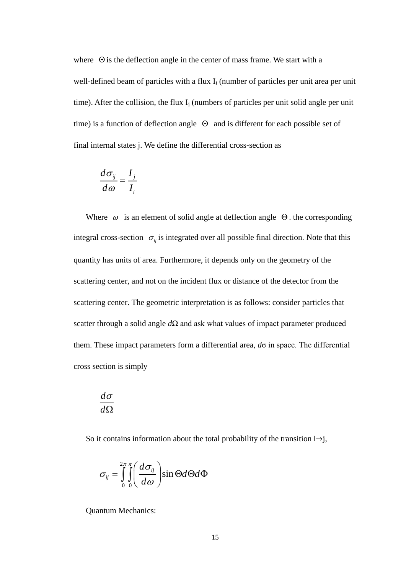where  $\Theta$  is the deflection angle in the center of mass frame. We start with a well-defined beam of particles with a flux  $I_i$  (number of particles per unit area per unit time). After the collision, the flux  $I_i$  (numbers of particles per unit solid angle per unit time) is a function of deflection angle  $\Theta$  and is different for each possible set of final internal states j. We define the differential cross-section as

$$
\frac{d\sigma_{ij}}{d\omega} = \frac{I_j}{I_i}
$$

Where  $\omega$  is an element of solid angle at deflection angle  $\Theta$ . the corresponding integral cross-section  $\sigma_{ij}$  is integrated over all possible final direction. Note that this quantity has units of area. Furthermore, it depends only on the geometry of the scattering center, and not on the incident flux or distance of the detector from the scattering center. The geometric interpretation is as follows: consider particles that scatter through a solid angle *d*Ω and ask what values of impact parameter produced them. These impact parameters form a differential area, *d*σ in space. The differential cross section is simply

$$
\frac{d\sigma}{d\Omega}
$$

So it contains information about the total probability of the transition  $i \rightarrow j$ ,

$$
\sigma_{ij} = \int_{0}^{2\pi} \int_{0}^{\pi} \left( \frac{d\sigma_{ij}}{d\omega} \right) \sin \Theta d\Theta d\Phi
$$

Quantum Mechanics: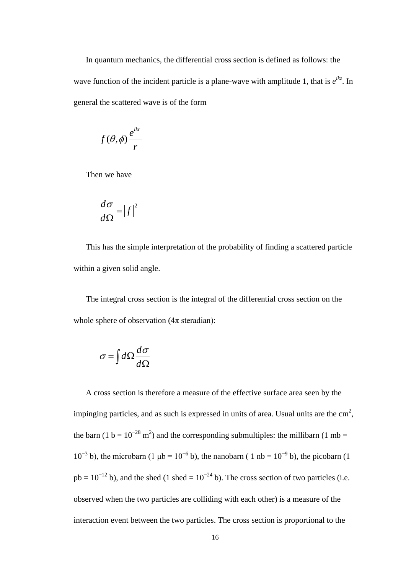In quantum mechanics, the differential cross section is defined as follows: the wave function of the incident particle is a plane-wave with amplitude 1, that is  $e^{ikz}$ . In general the scattered wave is of the form

$$
f(\theta,\phi)\frac{e^{ikr}}{r}
$$

Then we have

$$
\frac{d\sigma}{d\Omega} = |f|^2
$$

This has the simple interpretation of the probability of finding a scattered particle within a given solid angle.

 The integral cross section is the integral of the differential cross section on the whole sphere of observation  $(4\pi \text{ steradian})$ :

$$
\sigma = \int d\Omega \frac{d\sigma}{d\Omega}
$$

A cross section is therefore a measure of the effective surface area seen by the impinging particles, and as such is expressed in units of area. Usual units are the  $\text{cm}^2$ , the barn (1 b =  $10^{-28}$  m<sup>2</sup>) and the corresponding submultiples: the millibarn (1 mb =  $10^{-3}$  b), the microbarn (1  $\mu$ b =  $10^{-6}$  b), the nanobarn (1 nb =  $10^{-9}$  b), the picobarn (1  $pb = 10^{-12}$  b), and the shed (1 shed =  $10^{-24}$  b). The cross section of two particles (i.e. observed when the two particles are colliding with each other) is a measure of the interaction event between the two particles. The cross section is proportional to the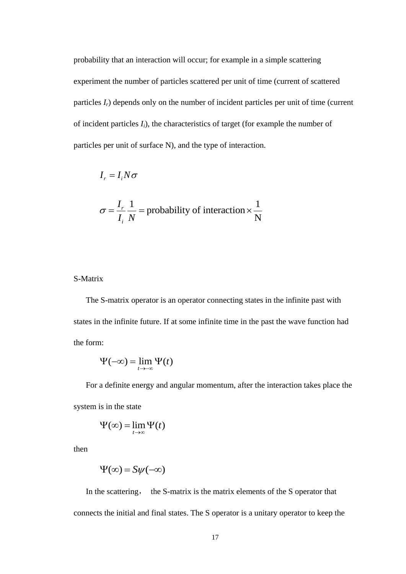probability that an interaction will occur; for example in a simple scattering experiment the number of particles scattered per unit of time (current of scattered particles  $I_r$ ) depends only on the number of incident particles per unit of time (current of incident particles *Ii*), the characteristics of target (for example the number of particles per unit of surface N), and the type of interaction.

$$
I_r = I_i N \sigma
$$
  

$$
\sigma = \frac{I_r}{I_i} \frac{1}{N} = \text{probability of interaction} \times \frac{1}{N}
$$

#### S-Matrix

The S-matrix operator is an operator connecting states in the infinite past with states in the infinite future. If at some infinite time in the past the wave function had the form:

$$
\Psi(-\infty) = \lim_{t \to -\infty} \Psi(t)
$$

For a definite energy and angular momentum, after the interaction takes place the system is in the state

$$
\Psi(\infty) = \lim_{t \to \infty} \Psi(t)
$$

then

$$
\Psi(\infty) = S\psi(-\infty)
$$

In the scattering, the S-matrix is the matrix elements of the S operator that connects the initial and final states. The S operator is a unitary operator to keep the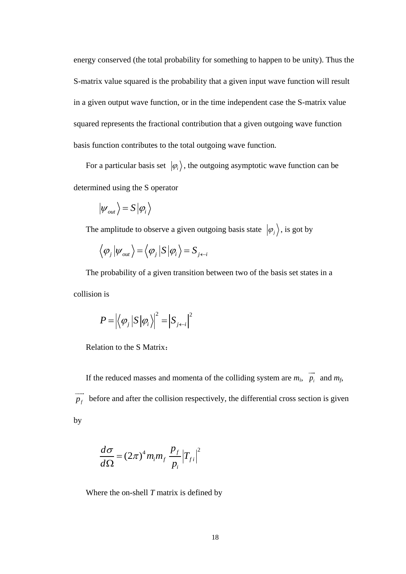energy conserved (the total probability for something to happen to be unity). Thus the S-matrix value squared is the probability that a given input wave function will result in a given output wave function, or in the time independent case the S-matrix value squared represents the fractional contribution that a given outgoing wave function basis function contributes to the total outgoing wave function.

For a particular basis set  $|\varphi_i\rangle$ , the outgoing asymptotic wave function can be determined using the S operator

$$
\left| \psi_{\rm out} \right\rangle = S \left| \varphi_i \right\rangle
$$

The amplitude to observe a given outgoing basis state  $|\varphi_j\rangle$ , is got by

$$
\left\langle \varphi_{j} \left| \psi_{\mathrm{out}} \right.\right\rangle = \left\langle \varphi_{j} \left| S \left| \varphi_{i} \right.\right\rangle = S_{j \leftarrow i}
$$

The probability of a given transition between two of the basis set states in a collision is

$$
P = \left| \left\langle \varphi_j \left| S \left| \varphi_i \right\rangle \right|^2 = \left| S_{j \leftarrow i} \right|^2 \right|
$$

Relation to the S Matrix:

If the reduced masses and momenta of the colliding system are  $m_i$ ,  $p_i$  $\rightarrow$ and *mf*, *f p*  $\overline{\phantom{a}}$ before and after the collision respectively, the differential cross section is given by

$$
\frac{d\sigma}{d\Omega} = (2\pi)^4 m_i m_f \frac{p_f}{p_i} |T_{fi}|^2
$$

Where the on-shell *T* matrix is defined by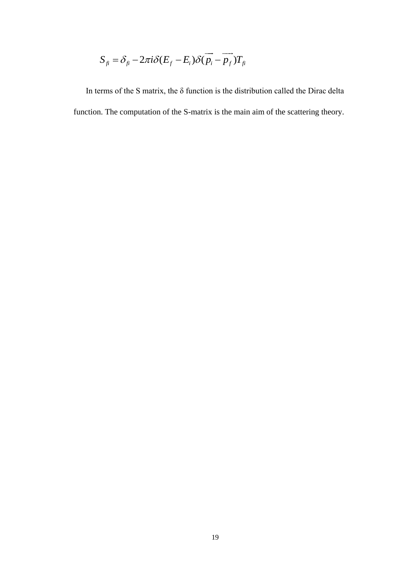$$
S_{fi} = \delta_{fi} - 2\pi i \delta (E_f - E_i) \delta (\overrightarrow{p_i} - \overrightarrow{p_f}) T_{fi}
$$

 $S_{\hat{B}} = \delta_{\hat{B}} - 2\pi i \delta (E_f - E_i) \delta (p_i - p_f) T_{\hat{B}}$ <br>rms of the S matrix, the  $\delta$  function is the dist<br>i. The computation of the S-matrix is the main In terms of the S matrix, the  $\delta$  function is the distribution called the Dirac delta function. The computation of the S-matrix is the main aim of the scattering theory.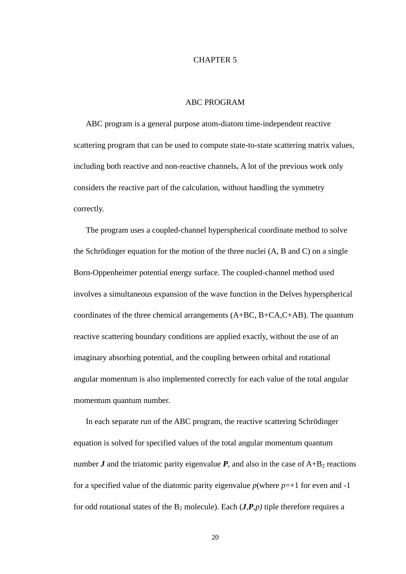#### CHAPTER 5

#### ABC PROGRAM

ABC program is a general purpose atom-diatom time-independent reactive scattering program that can be used to compute state-to-state scattering matrix values, including both reactive and non-reactive channels**.** A lot of the previous work only considers the reactive part of the calculation, without handling the symmetry correctly.

The program uses a coupled-channel hyperspherical coordinate method to solve the Schrödinger equation for the motion of the three nuclei (A, B and C) on a single Born-Oppenheimer potential energy surface. The coupled-channel method used involves a simultaneous expansion of the wave function in the Delves hyperspherical coordinates of the three chemical arrangements (A+BC, B+CA,C+AB). The quantum reactive scattering boundary conditions are applied exactly, without the use of an imaginary absorbing potential, and the coupling between orbital and rotational angular momentum is also implemented correctly for each value of the total angular momentum quantum number.

In each separate run of the ABC program, the reactive scattering Schrödinger equation is solved for specified values of the total angular momentum quantum number  $J$  and the triatomic parity eigenvalue  $P$ , and also in the case of  $A+B_2$  reactions for a specified value of the diatomic parity eigenvalue  $p$ (where  $p=+1$  for even and -1 for odd rotational states of the  $B_2$  molecule). Each  $(J, P, p)$  tiple therefore requires a

20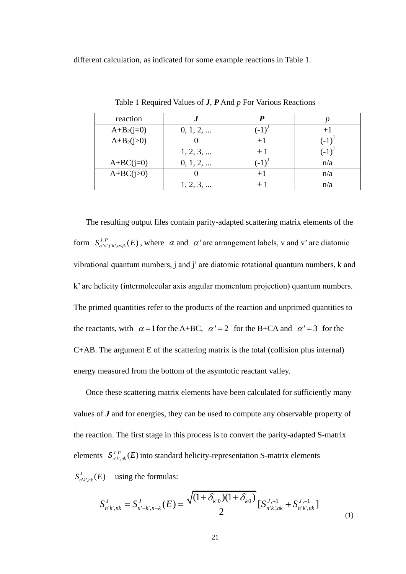different calculation, as indicated for some example reactions in Table 1.

| reaction     |          |      |     |
|--------------|----------|------|-----|
| $A+B_2(j=0)$ | 0, 1, 2, | $-1$ |     |
| $A+B_2(j>0)$ |          |      |     |
|              | 1, 2, 3, | $+1$ |     |
| $A+BC(j=0)$  | 0, 1, 2, |      | n/a |
| $A+BC(j>0)$  |          | $+1$ | n/a |
|              | 1, 2, 3, |      | n/a |

Table 1 Required Values of *J*, *P* And *p* For Various Reactions

The resulting output files contain parity-adapted scattering matrix elements of the form  $S_{\alpha'v'j'k',\alpha vjk}^{J,P}(E)$ , where  $\alpha$  and  $\alpha'$  are arrangement labels, v and v' are diatomic vibrational quantum numbers, j and j' are diatomic rotational quantum numbers, k and k' are helicity (intermolecular axis angular momentum projection) quantum numbers. The primed quantities refer to the products of the reaction and unprimed quantities to the reactants, with  $\alpha = 1$  for the A+BC,  $\alpha' = 2$  for the B+CA and  $\alpha' = 3$  for the C+AB. The argument E of the scattering matrix is the total (collision plus internal) energy measured from the bottom of the asymtotic reactant valley.

Once these scattering matrix elements have been calculated for sufficiently many values of *J* and for energies, they can be used to compute any observable property of the reaction. The first stage in this process is to convert the parity-adapted S-matrix elements  $S_{n'k',nk}^{J,P}(E)$  into standard helicity-representation S-matrix elements  $S^J_{n'k',nk}(E)$  using the formulas:

E) using the formulas:  
\n
$$
S_{n'k',nk}^J = S_{n'-k',n-k}^J(E) = \frac{\sqrt{(1+\delta_{k'0})(1+\delta_{k0})}}{2} [S_{n'k',nk}^{J,+1} + S_{n'k',nk}^{J,-1}]
$$
\n(1)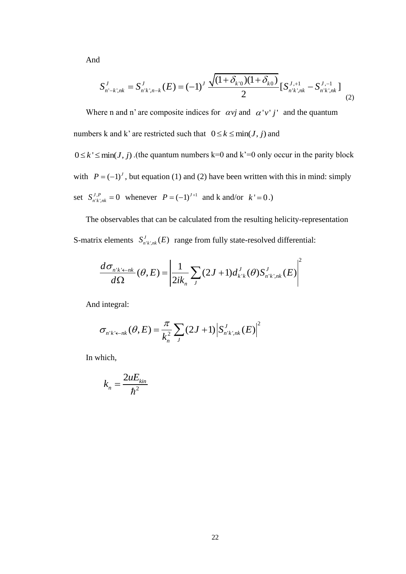And

$$
S_{n'-k',nk}^J = S_{n'k',n-k}^J(E) = (-1)^J \frac{\sqrt{(1+\delta_{k'0})(1+\delta_{k0})}}{2} [S_{n'k',nk}^{J,+1} - S_{n'k',nk}^{J,-1}]
$$
\n(2)

Where n and n' are composite indices for  $\alpha vj$  and  $\alpha'v'j'$  and the quantum numbers k and k' are restricted such that  $0 \le k \le \min(J, j)$  and

 $0 \le k' \le \min(J, j)$ . (the quantum numbers k=0 and k'=0 only occur in the parity block with  $P = (-1)^J$ , but equation (1) and (2) have been written with this in mind: simply set  $S_{n'k',nk}^{J,P} = 0$  whenever  $P = (-1)^{J+1}$  and k and/or  $k' = 0$ .)

The observables that can be calculated from the resulting helicity-representation S-matrix elements  $S_{n'k';nk}^{J}(E)$  range from fully state-resolved differential:

$$
\frac{d\sigma_{n'k' \leftarrow nk}}{d\Omega}(\theta, E) = \left| \frac{1}{2ik_n} \sum_{J} (2J+1) d_{k'k}^{J}(\theta) S_{n'k',nk}^{J}(E) \right|^2
$$

And integral:

$$
\sigma_{n'k'\leftarrow nk}(\theta,E) = \frac{\pi}{k_n^2} \sum_{J} (2J+1) \left| S_{n'k',nk}^{J}(E) \right|^2
$$

In which,

$$
k_n = \frac{2uE_{kin}}{\hbar^2}
$$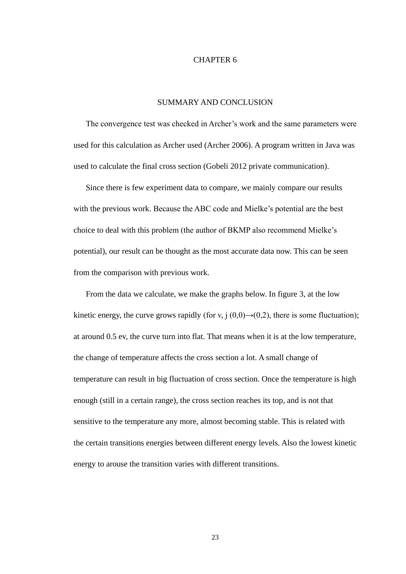#### CHAPTER 6

#### SUMMARY AND CONCLUSION

The convergence test was checked in Archer's work and the same parameters were used for this calculation as Archer used (Archer 2006). A program written in Java was used to calculate the final cross section (Gobeli 2012 private communication).

Since there is few experiment data to compare, we mainly compare our results with the previous work. Because the ABC code and Mielke's potential are the best choice to deal with this problem (the author of BKMP also recommend Mielke's potential), our result can be thought as the most accurate data now. This can be seen from the comparison with previous work.

From the data we calculate, we make the graphs below. In figure 3, at the low kinetic energy, the curve grows rapidly (for v, j  $(0,0) \rightarrow (0,2)$ , there is some fluctuation); at around 0.5 ev, the curve turn into flat. That means when it is at the low temperature, the change of temperature affects the cross section a lot. A small change of temperature can result in big fluctuation of cross section. Once the temperature is high enough (still in a certain range), the cross section reaches its top, and is not that sensitive to the temperature any more, almost becoming stable. This is related with the certain transitions energies between different energy levels. Also the lowest kinetic energy to arouse the transition varies with different transitions.

23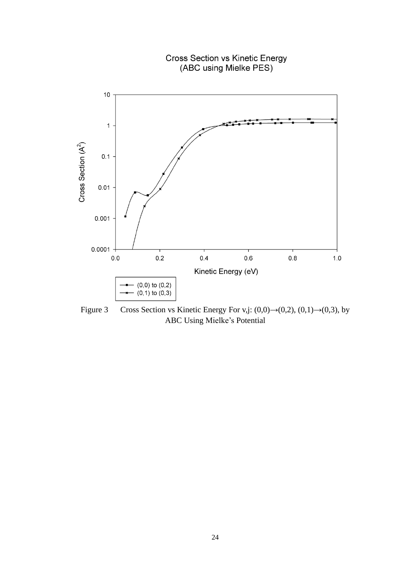

Figure 3 Cross Section vs Kinetic Energy For v,j:  $(0,0) \rightarrow (0,2)$ ,  $(0,1) \rightarrow (0,3)$ , by ABC Using Mielke's Potential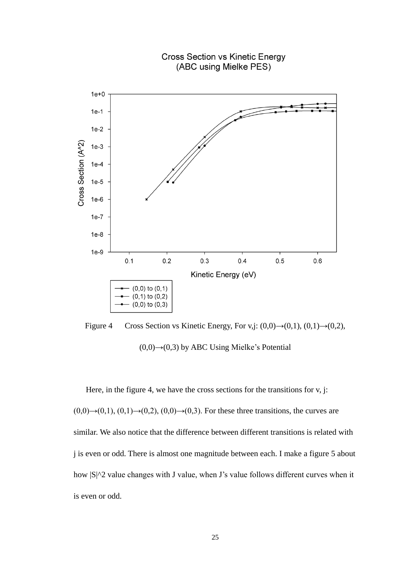

Figure 4 Cross Section vs Kinetic Energy, For v,j:  $(0,0) \rightarrow (0,1)$ ,  $(0,1) \rightarrow (0,2)$ ,  $(0,0) \rightarrow (0,3)$  by ABC Using Mielke's Potential

Here, in the figure 4, we have the cross sections for the transitions for v, j:  $(0,0) \rightarrow (0,1)$ ,  $(0,1) \rightarrow (0,2)$ ,  $(0,0) \rightarrow (0,3)$ . For these three transitions, the curves are similar. We also notice that the difference between different transitions is related with j is even or odd. There is almost one magnitude between each. I make a figure 5 about how  $|S|^2$  value changes with J value, when J's value follows different curves when it is even or odd.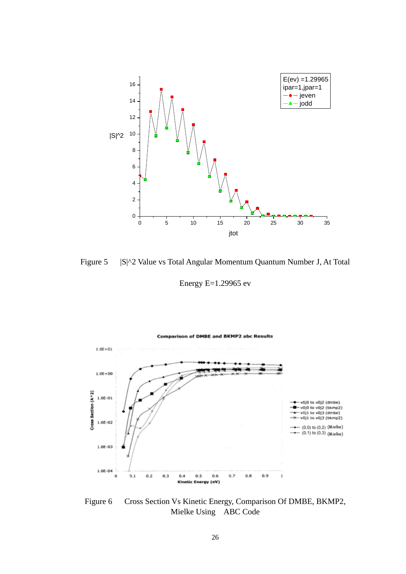

Figure 5 | S|^2 Value vs Total Angular Momentum Quantum Number J, At Total

Energy E=1.29965 ev



Figure 6 Cross Section Vs Kinetic Energy, Comparison Of DMBE, BKMP2, Mielke Using ABC Code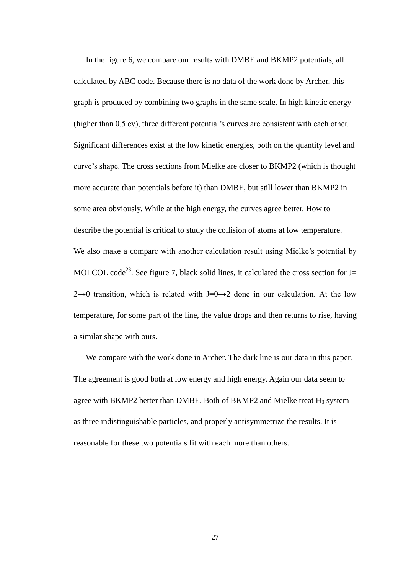In the figure 6, we compare our results with DMBE and BKMP2 potentials, all calculated by ABC code. Because there is no data of the work done by Archer, this graph is produced by combining two graphs in the same scale. In high kinetic energy (higher than 0.5 ev), three different potential's curves are consistent with each other. Significant differences exist at the low kinetic energies, both on the quantity level and curve's shape. The cross sections from Mielke are closer to BKMP2 (which is thought more accurate than potentials before it) than DMBE, but still lower than BKMP2 in some area obviously. While at the high energy, the curves agree better. How to describe the potential is critical to study the collision of atoms at low temperature. We also make a compare with another calculation result using Mielke's potential by MOLCOL code<sup>23</sup>. See figure 7, black solid lines, it calculated the cross section for  $J=$ 2→0 transition, which is related with J=0→2 done in our calculation. At the low temperature, for some part of the line, the value drops and then returns to rise, having a similar shape with ours.

We compare with the work done in Archer. The dark line is our data in this paper. The agreement is good both at low energy and high energy. Again our data seem to agree with BKMP2 better than DMBE. Both of BKMP2 and Mielke treat  $H_3$  system as three indistinguishable particles, and properly antisymmetrize the results. It is reasonable for these two potentials fit with each more than others.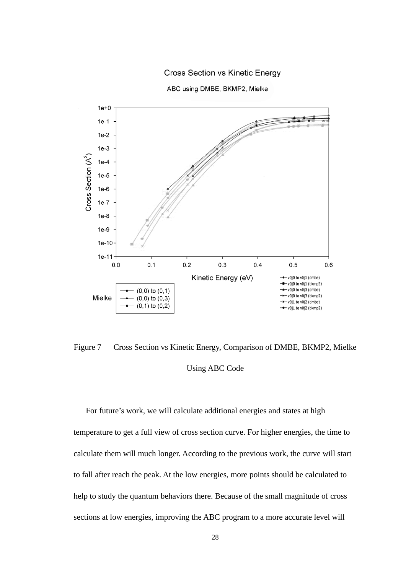

**Cross Section vs Kinetic Energy** 

ABC using DMBE, BKMP2, Mielke

Figure 7 Cross Section vs Kinetic Energy, Comparison of DMBE, BKMP2, Mielke Using ABC Code

For future's work, we will calculate additional energies and states at high temperature to get a full view of cross section curve. For higher energies, the time to calculate them will much longer. According to the previous work, the curve will start to fall after reach the peak. At the low energies, more points should be calculated to help to study the quantum behaviors there. Because of the small magnitude of cross sections at low energies, improving the ABC program to a more accurate level will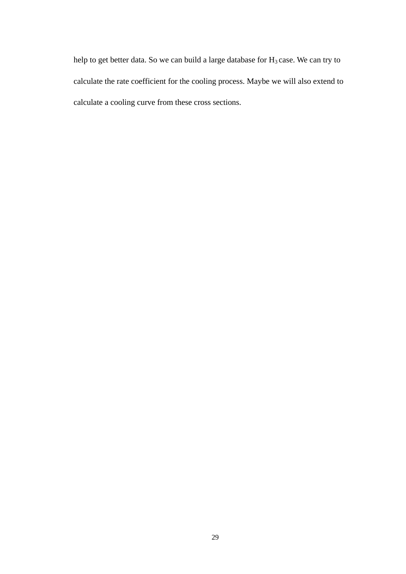help to get better data. So we can build a large database for  $H_3$  case. We can try to calculate the rate coefficient for the cooling process. Maybe we will also extend to calculate a cooling curve from these cross sections.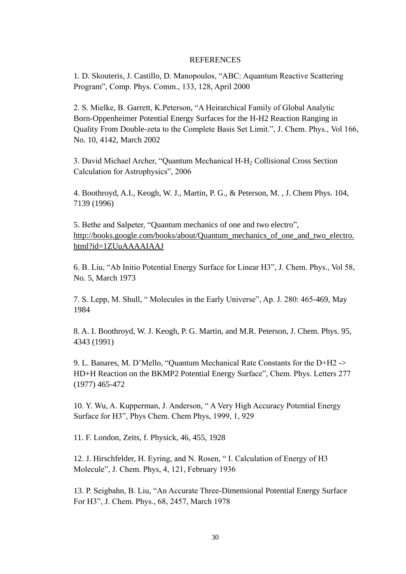#### REFERENCES

1. D. Skouteris, J. Castillo, D. Manopoulos, "ABC: Aquantum Reactive Scattering Program", Comp. Phys. Comm., 133, 128, April 2000

2. S. Mielke, B. Garrett, K.Peterson, "A Heirarchical Family of Global Analytic Born-Oppenheimer Potential Energy Surfaces for the H-H2 Reaction Ranging in Quality From Double-zeta to the Complete Basis Set Limit.", J. Chem. Phys., Vol 166, No. 10, 4142, March 2002

3. David Michael Archer, "Quantum Mechanical H-H<sup>2</sup> Collisional Cross Section Calculation for Astrophysics", 2006

4. Boothroyd, A.I., Keogh, W. J., Martin, P. G., & Peterson, M. , J. Chem Phys. 104, 7139 (1996)

5. Bethe and Salpeter, "Quantum mechanics of one and two electro", [http://books.google.com/books/about/Quantum\\_mechanics\\_of\\_one\\_and\\_two\\_electro.](http://books.google.com/books/about/Quantum_mechanics_of_one_and_two_electro.html?id=1ZUuAAAAIAAJ) [html?id=1ZUuAAAAIAAJ](http://books.google.com/books/about/Quantum_mechanics_of_one_and_two_electro.html?id=1ZUuAAAAIAAJ)

6. B. Liu, "Ab Initio Potential Energy Surface for Linear H3", J. Chem. Phys., Vol 58, No. 5, March 1973

7. S. Lepp, M. Shull, " Molecules in the Early Universe", Ap. J. 280: 465-469, May 1984

8. A. I. Boothroyd, W. J. Keogh, P. G. Martin, and M.R. Peterson, J. Chem. Phys. 95, 4343 (1991)

9. L. Banares, M. D'Mello, "Quantum Mechanical Rate Constants for the D+H2 -> HD+H Reaction on the BKMP2 Potential Energy Surface", Chem. Phys. Letters 277 (1977) 465-472

10. Y. Wu, A. Kupperman, J. Anderson, " A Very High Accuracy Potential Energy Surface for H3", Phys Chem. Chem Phys, 1999, 1, 929

11. F. London, Zeits, f. Physick, 46, 455, 1928

12. J. Hirschfelder, H. Eyring, and N. Rosen, " I. Calculation of Energy of H3 Molecule", J. Chem. Phys, 4, 121, February 1936

13. P. Seigbahn, B. Liu, "An Accurate Three-Dimensional Potential Energy Surface For H3", J. Chem. Phys., 68, 2457, March 1978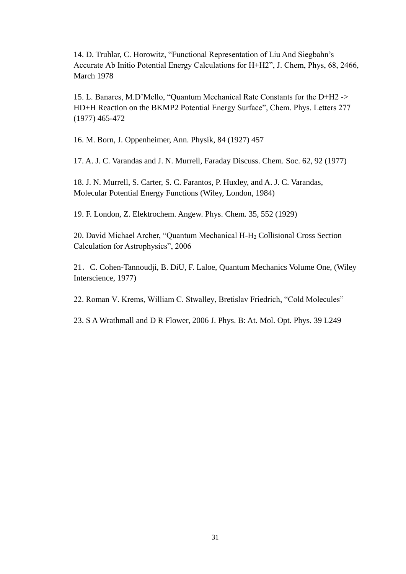14. D. Truhlar, C. Horowitz, "Functional Representation of Liu And Siegbahn's Accurate Ab Initio Potential Energy Calculations for H+H2", J. Chem, Phys, 68, 2466, March 1978

15. L. Banares, M.D'Mello, "Quantum Mechanical Rate Constants for the D+H2 -> HD+H Reaction on the BKMP2 Potential Energy Surface", Chem. Phys. Letters 277 (1977) 465-472

16. M. Born, J. Oppenheimer, Ann. Physik, 84 (1927) 457

17. A. J. C. Varandas and J. N. Murrell, Faraday Discuss. Chem. Soc. 62, 92 (1977)

18. J. N. Murrell, S. Carter, S. C. Farantos, P. Huxley, and A. J. C. Varandas, Molecular Potential Energy Functions (Wiley, London, 1984)

19. F. London, Z. Elektrochem. Angew. Phys. Chem. 35, 552 (1929)

20. David Michael Archer, "Quantum Mechanical H-H<sup>2</sup> Collisional Cross Section Calculation for Astrophysics", 2006

21.C. Cohen-Tannoudji, B. DiU, F. Laloe, Quantum Mechanics Volume One, (Wiley Interscience, 1977)

22. Roman V. Krems, William C. Stwalley, Bretislav Friedrich, "Cold Molecules"

23. S A Wrathmall and D R Flower, 2006 J. Phys. B: At. Mol. Opt. Phys. 39 L249